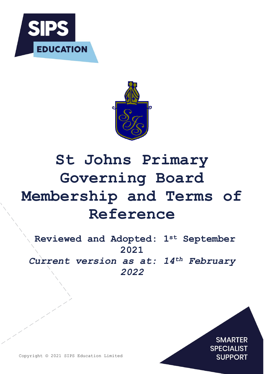



# **St Johns Primary Governing Board Membership and Terms of Reference**

**Reviewed and Adopted: 1st September 2021** *Current version as at: 14th February 2022*

> **SMARTER SPECIALIST SUPPORT**

Copyright © 2021 SIPS Education Limited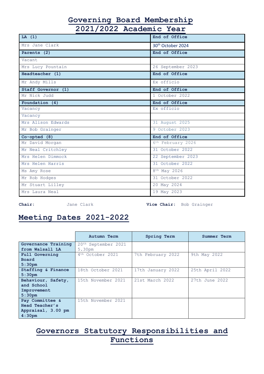# **Governing Board Membership**

**2021/2022 Academic Year**

| LA(1)              | End of Office                 |
|--------------------|-------------------------------|
| Mrs Jane Clark     | 30 <sup>th</sup> October 2024 |
| Parents (2)        | End of Office                 |
| Vacant             |                               |
| Mrs Lucy Pountain  | 26 September 2023             |
| Headteacher (1)    | End of Office                 |
| Mr Andy Mills      | Ex officio                    |
| Staff Governor (1) | End of Office                 |
| Mr Nick Judd       | 1 October 2022                |
| Foundation (4)     | End of Office                 |
| Vacancy            | Ex officio                    |
| Vacancy            |                               |
| Mrs Alison Edwards | 31 August 2025                |
| Mr Bob Grainger    | 9 October 2023                |
| $Co$ -opted $(8)$  | End of Office                 |
| Mr David Morgan    | 6 <sup>th</sup> February 2026 |
| Mr Neal Critchley  | 31 October 2022               |
| Mrs Helen Dimmock  | 22 September 2023             |
| Mrs Helen Harris   | 31 October 2022               |
| Ms Amy Rose        | 8 <sup>th</sup> May 2026      |
| Mr Rob Hodges      | 31 October 2022               |
| Mr Stuart Lilley   | 20 May 2024                   |
| Mrs Laura Neal     | 19 May 2023                   |

**Chair:** Jane Clark **Vice Chair:** Bob Grainger

# **Meeting Dates 2021-2022**

|                     | Autumn Term                  | Spring Term       | Summer Term     |
|---------------------|------------------------------|-------------------|-----------------|
| Governance Training | 20th September 2021          |                   |                 |
| from Walsall LA     | 5.30pm                       |                   |                 |
| Full Governing      | 4 <sup>th</sup> October 2021 | 7th February 2022 | 9th May 2022    |
| <b>Board</b>        |                              |                   |                 |
| 5:30 <sub>pm</sub>  |                              |                   |                 |
| Staffing & Finance  | 18th October 2021            | 17th January 2022 | 25th April 2022 |
| 5:30 <sub>pm</sub>  |                              |                   |                 |
| Behaviour, Safety,  | 15th November 2021           | 21st March 2022   | 27th June 2022  |
| and School          |                              |                   |                 |
| Improvement         |                              |                   |                 |
| 5:30 <sub>pm</sub>  |                              |                   |                 |
| Pay Committee &     | 15th November 2021           |                   |                 |
| Head Teacher's      |                              |                   |                 |
| Appraisal, 3.00 pm  |                              |                   |                 |
| 4:30 <sub>pm</sub>  |                              |                   |                 |

# **Governors Statutory Responsibilities and Functions**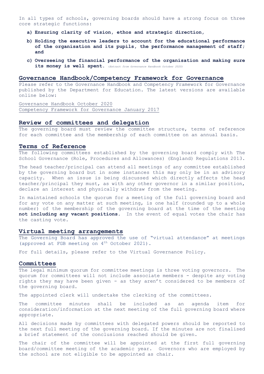In all types of schools, governing boards should have a strong focus on three core strategic functions:

- **a) Ensuring clarity of vision, ethos and strategic direction,**
- **b) Holding the executive leaders to account for the educational performance of the organisation and its pupils, the performance management of staff; and**
- **c) Overseeing the financial performance of the organisation and making sure its money is well spent.** (*Extract from Governance Handbook October 2020)*

### **Governance Handbook/Competency Framework for Governance**

Please refer to the Governance Handbook and Competency Framework for Governance published by the Department for Education. The latest versions are available online below:

[Governance Handbook October 2020](https://assets.publishing.service.gov.uk/government/uploads/system/uploads/attachment_data/file/788234/governance_handbook_2019.pdf) [Competency Framework for Governance January 2017](https://assets.publishing.service.gov.uk/government/uploads/system/uploads/attachment_data/file/583733/Competency_framework_for_governance_.pdf) 

#### **Review of committees and delegation**

The governing board must review the committee structure, terms of reference for each committee and the membership of each committee on an annual basis.

### **Terms of Reference**

The following committees established by the governing board comply with The School Governance (Role, Procedures and Allowances) (England) Regulations 2013.

The head teacher/principal can attend all meetings of any committee established by the governing board but in some instances this may only be in an advisory capacity. When an issue is being discussed which directly affects the head teacher/principal they must, as with any other governor in a similar position, declare an interest and physically withdraw from the meeting.

In maintained schools the quorum for a meeting of the full governing board and for any vote on any matter at such meeting, is one half (rounded up to a whole number) of the membership of the governing board at the time of the meeting **not including any vacant positions.** In the event of equal votes the chair has the casting vote.

### **Virtual meeting arrangements**

The Governing Board has approved the use of "virtual attendance" at meetings (approved at FGB meeting on 4<sup>th</sup> October 2021).

For full details, please refer to the Virtual Governance Policy.

#### **Committees**

The legal minimum quorum for committee meetings is three voting governors. The quorum for committees will not include associate members - despite any voting rights they may have been given - as they aren't considered to be members of the governing board.

The appointed clerk will undertake the clerking of the committees.

The committee minutes shall be included as an agenda item for consideration/information at the next meeting of the full governing board where appropriate.

All decisions made by committees with delegated powers should be reported to the next full meeting of the governing board. If the minutes are not finalised a brief statement of the conclusions reached should be given.

The chair of the committee will be appointed at the first full governing board/committee meeting of the academic year. Governors who are employed by the school are not eligible to be appointed as chair.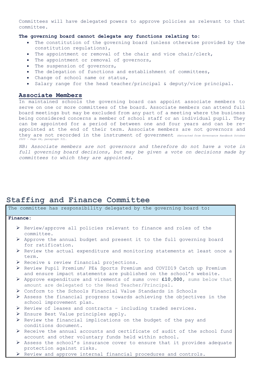Committees will have delegated powers to approve policies as relevant to that committee.

#### **The governing board cannot delegate any functions relating to:**

- The constitution of the governing board (unless otherwise provided by the constitution regulations),
- The appointment or removal of the chair and vice chair/clerk,
- The appointment or removal of governors,
- The suspension of governors,
- The delegation of functions and establishment of committees,
- Change of school name or status,
- Salary range for the head teacher/principal & deputy/vice principal.

### **Associate Members**

In maintained schools the governing board can appoint associate members to serve on one or more committees of the board. Associate members can attend full board meetings but may be excluded from any part of a meeting where the business being considered concerns a member of school staff or an individual pupil. They can be appointed for a period of between one and four years and can be reappointed at the end of their term. Associate members are not governors and they are not recorded in the instrument of government *(Extracted from Governance Handbook October 2020 – Page 64, paragraph 53).* 

*NB: Associate members are not governors and therefore do not have a vote in full governing board decisions, but may be given a vote on decisions made by committees to which they are appointed.*

### **Staffing and Finance Committee**

|          | The committee has responsibility delegated by the governing board to:                                                                          |
|----------|------------------------------------------------------------------------------------------------------------------------------------------------|
| Finance: |                                                                                                                                                |
|          | $\triangleright$ Review/approve all policies relevant to finance and roles of the<br>committee.                                                |
| ➤        | Approve the annual budget and present it to the full governing board<br>for ratification.                                                      |
|          | $\triangleright$ Review the actual expenditure and monitoring statements at least once a<br>term.                                              |
|          | > Receive & review financial projections.                                                                                                      |
|          | > Review Pupil Premium/ PE& Sports Premium and COVID19 Catch up Premium<br>and ensure impact statements are published on the school's website. |
| ➤        | Approve expenditure and virements of sums over £10,000, sums below that<br>amount are delegated to the Head Teacher/Principal.                 |
|          | $\triangleright$ Conform to the Schools Financial Value Standards in Schools                                                                   |
|          | $\triangleright$ Assess the financial progress towards achieving the objectives in the<br>school improvement plan.                             |
|          | $\triangleright$ Review of leases and contracts - including traded services.                                                                   |
|          | $\triangleright$ Ensure Best Value principles apply.                                                                                           |
| ➤        | Review the financial implications on the budget of the pay and<br>conditions document.                                                         |
|          | ▶ Receive the annual accounts and certificate of audit of the school fund<br>account and other voluntary funds held within school.             |
|          | $\triangleright$ Assess the school's insurance cover to ensure that it provides adequate<br>protection against risks.                          |
|          | ▶ Review and approve internal financial procedures and controls.                                                                               |
|          |                                                                                                                                                |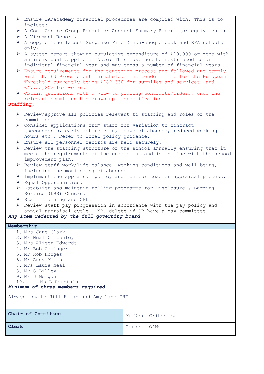| $\triangleright$ Ensure LA/academy financial procedures are complied with. This is to |  |  |  |  |
|---------------------------------------------------------------------------------------|--|--|--|--|
| include:                                                                              |  |  |  |  |

- A Cost Centre Group Report or Account Summary Report (or equivalent )
- > A Virement Report,
- $\triangleright$  A copy of the latest Suspense File ( non-cheque book and EPA schools only)
- $\triangleright$  A system report showing cumulative expenditure of £10,000 or more with an individual supplier. Note: This must not be restricted to an individual financial year and may cross a number of financial years
- $\triangleright$  Ensure requirements for the tendering process are followed and comply with the EU Procurement Threshold. The tender limit for the European Threshold currently being £189,330 for supplies and services, and £4,733,252 for works.
- Obtain quotations with a view to placing contracts/orders, once the relevant committee has drawn up a specification.

### **Staffing:**

- $\triangleright$  Review/approve all policies relevant to staffing and roles of the committee.
- Consider applications from staff for variation to contract (secondments, early retirements, leave of absence, reduced working hours etc). Refer to local policy guidance.
- Ensure all personnel records are held securely.
- $\triangleright$  Review the staffing structure of the school annually ensuring that it meets the requirements of the curriculum and is in line with the school improvement plan.
- $\triangleright$  Review staff work/life balance, working conditions and well-being, including the monitoring of absence.
- Implement the appraisal policy and monitor teacher appraisal process.
- Equal Opportunities.
- Establish and maintain rolling programme for Disclosure & Barring Service (DBS) Checks.
- $\triangleright$  Staff training and CPD.
- $\triangleright$  Review staff pay progression in accordance with the pay policy and annual appraisal cycle. NB. delete if GB have a pay committee

### *Any item referred by the full governing board*

### **Membership**

| 1. Mrs Jane Clark                         |                   |  |
|-------------------------------------------|-------------------|--|
| 2. Mr Neal Critchley                      |                   |  |
| 3. Mrs Alison Edwards                     |                   |  |
| 4. Mr Bob Grainger                        |                   |  |
| 5. Mr Rob Hodges                          |                   |  |
| 6. Mr Andy Mills                          |                   |  |
| 7. Mrs Laura Neal                         |                   |  |
| 8. Mr S Lilley                            |                   |  |
| 9. Mr D Morgan                            |                   |  |
| 10. Ms L Pountain                         |                   |  |
| Minimum of three members required         |                   |  |
|                                           |                   |  |
| Always invite Jill Haigh and Amy Lane DHT |                   |  |
|                                           |                   |  |
|                                           |                   |  |
| Chair of Committee                        | Mr Neal Critchley |  |
|                                           |                   |  |
|                                           |                   |  |
| Clerk                                     | Cordell O'Neill   |  |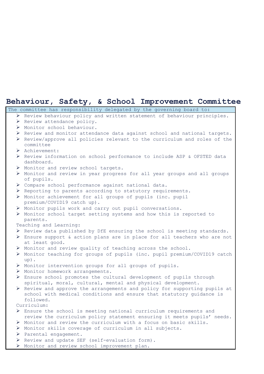### **Behaviour, Safety, & School Improvement Committee**

|   | The committee has responsibility delegated by the governing board to:                                                                                          |
|---|----------------------------------------------------------------------------------------------------------------------------------------------------------------|
|   | > Review behaviour policy and written statement of behaviour principles.                                                                                       |
|   | > Review attendance policy.                                                                                                                                    |
|   | > Monitor school behaviour.                                                                                                                                    |
|   | > Review and monitor attendance data against school and national targets.                                                                                      |
|   | ▶ Review/approve all policies relevant to the curriculum and roles of the<br>committee                                                                         |
|   | > Achievement:                                                                                                                                                 |
|   | > Review information on school performance to include ASP & OFSTED data<br>dashboard.                                                                          |
|   | > Monitor and review school targets.                                                                                                                           |
|   | > Monitor and review in year progress for all year groups and all groups<br>of pupils.                                                                         |
|   | > Compare school performance against national data.                                                                                                            |
|   | ▶ Reporting to parents according to statutory requirements.                                                                                                    |
|   | > Monitor achievement for all groups of pupils (inc. pupil<br>premium/COVID19 catch up).                                                                       |
|   | > Monitor pupils work and carry out pupil conversations.                                                                                                       |
|   | > Monitor school target setting systems and how this is reported to<br>parents.                                                                                |
|   | Teaching and Learning:                                                                                                                                         |
|   | ▶ Review data published by DfE ensuring the school is meeting standards.                                                                                       |
|   | > Ensure support & action plans are in place for all teachers who are not<br>at least good.                                                                    |
|   | > Monitor and review quality of teaching across the school.                                                                                                    |
|   | > Monitor teaching for groups of pupils (inc. pupil premium/COVID19 catch<br>up).                                                                              |
|   | > Monitor intervention groups for all groups of pupils.                                                                                                        |
|   | > Monitor homework arrangements.                                                                                                                               |
|   | > Ensure school promotes the cultural development of pupils through<br>spiritual, moral, cultural, mental and physical development.                            |
|   | ▶ Review and approve the arrangements and policy for supporting pupils at<br>school with medical conditions and ensure that statutory guidance is<br>followed. |
|   | Curriculum:                                                                                                                                                    |
|   | $\triangleright$ Ensure the school is meeting national curriculum requirements and<br>review the curriculum policy statement ensuring it meets pupils' needs.  |
|   | > Monitor and review the curriculum with a focus on basic skills.                                                                                              |
|   | > Monitor skills coverage of curriculum in all subjects.                                                                                                       |
|   | $\triangleright$ Parental engagement.                                                                                                                          |
| ➤ | Review and update SEF (self-evaluation form).                                                                                                                  |
|   | > Monitor and review school improvement plan.                                                                                                                  |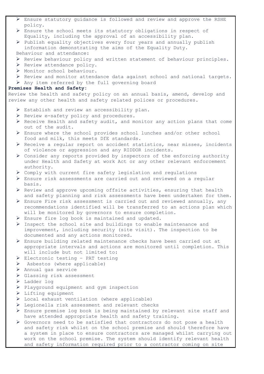- Ensure statutory guidance is followed and review and approve the RSHE policy.
- Ensure the school meets its statutory obligations in respect of Equality, including the approval of an accessibility plan.
- $\triangleright$  Publish equality objectives every four years and annually publish information demonstrating the aims of the Equality Duty.
- Behaviour and attendance:
- $\triangleright$  Review behaviour policy and written statement of behaviour principles.
- $\triangleright$  Review attendance policy.
- Monitor school behaviour.
- $\triangleright$  Review and monitor attendance data against school and national targets.
- $\triangleright$  Any item referred by the full governing board

### **Premises Health and Safety:**

Review the health and safety policy on an annual basis, amend, develop and review any other health and safety related polices or procedures.

- > Establish and review an accessibility plan.
- $\triangleright$  Review e-safety policy and procedures.
- $\triangleright$  Receive Health and safety audit, and monitor any action plans that come out of the audit.
- Ensure where the school provides school lunches and/or other school food and milk, this meets DfE standards.
- Receive a regular report on accident statistics, near misses, incidents of violence or aggression and any RIDDOR incidents.
- $\triangleright$  Consider any reports provided by inspectors of the enforcing authority under Health and Safety at work Act or any other relevant enforcement authority.
- $\triangleright$  Comply with current fire safety legislation and regulations
- Ensure risk assessments are carried out and reviewed on a regular basis.
- $\triangleright$  Review and approve upcoming offsite activities, ensuring that health and safety planning and risk assessments have been undertaken for them.
- Ensure Fire risk assessment is carried out and reviewed annually, any recommendations identified will be transferred to an actions plan which will be monitored by governors to ensure completion.
- Ensure fire log book is maintained and updated.
- $\triangleright$  Inspect the school site and buildings to enable maintenance and improvement, including security (site visit). The inspection to be documented and any actions monitored.
- Ensure building related maintenance checks have been carried out at appropriate intervals and actions are monitored until completion. This will include but not limited to:
- $\triangleright$  Electronic testing PAT testing
- $\triangleright$  Asbestos (where applicable)
- > Annual gas service
- Glassing risk assessment
- > Ladder log
- $\triangleright$  Playground equipment and gym inspection
- $\triangleright$  Lifting equipment
- Local exhaust ventilation (where applicable)
- Legionella risk assessment and relevant checks
- Ensure premise log book is being maintained by relevant site staff and have attended appropriate health and safety training.
- Governors need to be satisfied that contractors do not pose a health and safety risk whilst on the school premise and should therefore have a system in place to ensure contractors are managed whilst carrying out work on the school premise. The system should identify relevant health and safety information required prior to a contractor coming on site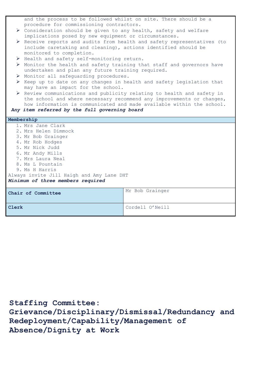|  | and the process to be followed whilst on site. There should be a                      |                                                                         |  |
|--|---------------------------------------------------------------------------------------|-------------------------------------------------------------------------|--|
|  | procedure for commissioning contractors.                                              |                                                                         |  |
|  | ▶ Consideration should be given to any health, safety and welfare                     |                                                                         |  |
|  | implications posed by new equipment or circumstances.                                 |                                                                         |  |
|  |                                                                                       | ▶ Receive reports and audits from health and safety representatives (to |  |
|  | include caretaking and cleaning), actions identified should be                        |                                                                         |  |
|  | monitored to completion.                                                              |                                                                         |  |
|  | > Health and safety self-monitoring return.                                           |                                                                         |  |
|  | ▶ Monitor the health and safety training that staff and governors have                |                                                                         |  |
|  | undertaken and plan any future training required.                                     |                                                                         |  |
|  | > Monitor all safequarding procedures.                                                |                                                                         |  |
|  | $\triangleright$ Keep up to date on any changes in health and safety legislation that |                                                                         |  |
|  | may have an impact for the school.                                                    |                                                                         |  |
|  | ▶ Review communications and publicity relating to health and safety in                |                                                                         |  |
|  |                                                                                       | the school and where necessary recommend any improvements or changes,   |  |
|  |                                                                                       | how information is communicated and made available within the school.   |  |
|  | Any item referred by the full governing board                                         |                                                                         |  |
|  |                                                                                       |                                                                         |  |
|  |                                                                                       |                                                                         |  |
|  | Membership                                                                            |                                                                         |  |
|  | 1. Mrs Jane Clark                                                                     |                                                                         |  |
|  | 2. Mrs Helen Dimmock                                                                  |                                                                         |  |
|  | 3. Mr Bob Grainger                                                                    |                                                                         |  |
|  | 4. Mr Rob Hodges                                                                      |                                                                         |  |
|  | 5. Mr Nick Judd                                                                       |                                                                         |  |
|  |                                                                                       |                                                                         |  |
|  | 6. Mr Andy Mills<br>7. Mrs Laura Neal                                                 |                                                                         |  |
|  | 8. Ms L Pountain                                                                      |                                                                         |  |
|  | 9. Ms H Harris                                                                        |                                                                         |  |
|  |                                                                                       |                                                                         |  |
|  | Always invite Jill Haigh and Amy Lane DHT                                             |                                                                         |  |
|  | Minimum of three members required                                                     |                                                                         |  |
|  |                                                                                       | Mr Bob Grainger                                                         |  |
|  | Chair of Committee                                                                    |                                                                         |  |
|  |                                                                                       |                                                                         |  |

**Staffing Committee: Grievance/Disciplinary/Dismissal/Redundancy and Redeployment/Capability/Management of Absence/Dignity at Work**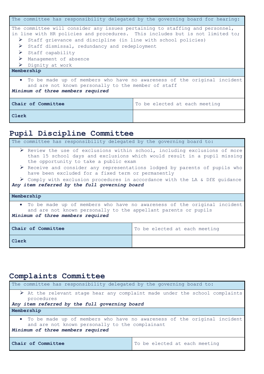| The committee has responsibility delegated by the governing board for hearing:                                                                                        |                                                               |  |  |
|-----------------------------------------------------------------------------------------------------------------------------------------------------------------------|---------------------------------------------------------------|--|--|
| The committee will consider any issues pertaining to staffing and personnel,                                                                                          |                                                               |  |  |
| in line with HR policies and procedures. This includes but is not limited to;                                                                                         |                                                               |  |  |
| ➤                                                                                                                                                                     | Staff grievance and discipline (in line with school policies) |  |  |
| $\triangleright$                                                                                                                                                      | Staff dismissal, redundancy and redeployment                  |  |  |
| $\triangleright$ Staff capability                                                                                                                                     |                                                               |  |  |
| > Management of absence                                                                                                                                               |                                                               |  |  |
| ➤<br>Dignity at work                                                                                                                                                  |                                                               |  |  |
| Membership                                                                                                                                                            |                                                               |  |  |
| • To be made up of members who have no awareness of the original incident<br>and are not known personally to the member of staff<br>Minimum of three members required |                                                               |  |  |
| Chair of Committee<br>To be elected at each meeting                                                                                                                   |                                                               |  |  |
| Clerk                                                                                                                                                                 |                                                               |  |  |

# **Pupil Discipline Committee**

| The committee has responsibility delegated by the governing board to:                                                                                                                                          |  |  |  |
|----------------------------------------------------------------------------------------------------------------------------------------------------------------------------------------------------------------|--|--|--|
| $\triangleright$ Review the use of exclusions within school, including exclusions of more<br>than 15 school days and exclusions which would result in a pupil missing<br>the opportunity to take a public exam |  |  |  |
| $\triangleright$ Receive and consider any representations lodged by parents of pupils who<br>have been excluded for a fixed term or permanently                                                                |  |  |  |
| $\triangleright$ Comply with exclusion procedures in accordance with the LA & DfE quidance<br>Any item referred by the full governing board                                                                    |  |  |  |
| Membership                                                                                                                                                                                                     |  |  |  |
| • To be made up of members who have no awareness of the original incident<br>and are not known personally to the appellant parents or pupils<br>Minimum of three members required                              |  |  |  |
| Chair of Committee<br>To be elected at each meeting                                                                                                                                                            |  |  |  |
| Clerk                                                                                                                                                                                                          |  |  |  |

# **Complaints Committee**

| The committee has responsibility delegated by the governing board to:                                                                                             |                               |  |  |
|-------------------------------------------------------------------------------------------------------------------------------------------------------------------|-------------------------------|--|--|
| $\triangleright$ At the relevant stage hear any complaint made under the school complaints<br>procedures                                                          |                               |  |  |
| Any item referred by the full governing board                                                                                                                     |                               |  |  |
| Membership                                                                                                                                                        |                               |  |  |
| • To be made up of members who have no awareness of the original incident<br>and are not known personally to the complainant<br>Minimum of three members required |                               |  |  |
| Chair of Committee                                                                                                                                                | To be elected at each meeting |  |  |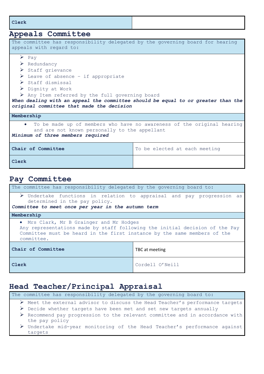**Clerk**

# **Appeals Committee**

| The committee has responsibility delegated by the governing board for hearing<br>appeals with regard to:                                                                                                                                                                                                                                                                                                                               |                               |  |
|----------------------------------------------------------------------------------------------------------------------------------------------------------------------------------------------------------------------------------------------------------------------------------------------------------------------------------------------------------------------------------------------------------------------------------------|-------------------------------|--|
| $\triangleright$ Pay<br>$\triangleright$ Redundancy<br>$\triangleright$ Staff grievance<br>$\triangleright$ Leave of absence - if appropriate<br>$\triangleright$ Staff dismissal<br>$\triangleright$ Dignity at Work<br>$\triangleright$ Any Item referred by the full governing board<br>When dealing with an appeal the committee should be equal to or greater than the<br>original committee that made the decision<br>Membership |                               |  |
| To be made up of members who have no awareness of the original hearing<br>and are not known personally to the appellant<br>Minimum of three members required                                                                                                                                                                                                                                                                           |                               |  |
| Chair of Committee                                                                                                                                                                                                                                                                                                                                                                                                                     | To be elected at each meeting |  |
| Clerk                                                                                                                                                                                                                                                                                                                                                                                                                                  |                               |  |

### **Pay Committee**

| The committee has responsibility delegated by the governing board to:                                                                                                                                             |                 |  |  |
|-------------------------------------------------------------------------------------------------------------------------------------------------------------------------------------------------------------------|-----------------|--|--|
| $\triangleright$ Undertake functions in relation to appraisal and pay progression as<br>determined in the pay policy.<br>Committee to meet once per year in the autumn term                                       |                 |  |  |
| Membership                                                                                                                                                                                                        |                 |  |  |
| . Mrs Clark, Mr B Grainger and Mr Hodges<br>Any representations made by staff following the initial decision of the Pay<br>Committee must be heard in the first instance by the same members of the<br>committee. |                 |  |  |
| Chair of Committee<br>TBC at meeting                                                                                                                                                                              |                 |  |  |
| Clerk                                                                                                                                                                                                             | Cordell O'Neill |  |  |

### **Head Teacher/Principal Appraisal**

The committee has responsibility delegated by the governing board to: Meet the external advisor to discuss the Head Teacher's performance targets  $\triangleright$  Decide whether targets have been met and set new targets annually Recommend pay progression to the relevant committee and in accordance with the pay policy Undertake mid-year monitoring of the Head Teacher's performance against targets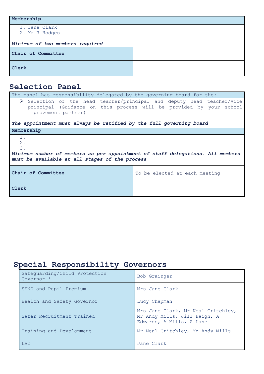| Membership                      |  |
|---------------------------------|--|
| 1. Jane Clark<br>2. Mr R Hodges |  |
| Minimum of two members required |  |
| Chair of Committee              |  |
| Clerk                           |  |

# **Selection Panel**

| The panel has responsibility delegated by the governing board for the:                                                                                                                                                                                      |                               |  |
|-------------------------------------------------------------------------------------------------------------------------------------------------------------------------------------------------------------------------------------------------------------|-------------------------------|--|
| $\triangleright$ Selection of the head teacher/principal and deputy head teacher/vice<br>principal (Guidance on this process will be provided by your school<br>improvement partner)<br>The appointment must always be ratified by the full governing board |                               |  |
| Membership                                                                                                                                                                                                                                                  |                               |  |
| 1.<br>2.<br>3.<br>Minimum number of members as per appointment of staff delegations. All members<br>must be available at all stages of the process                                                                                                          |                               |  |
| Chair of Committee                                                                                                                                                                                                                                          | To be elected at each meeting |  |
| Clerk                                                                                                                                                                                                                                                       |                               |  |

# **Special Responsibility Governors**

| Safequarding/Child Protection<br>Governor * | Bob Grainger                                                                                   |
|---------------------------------------------|------------------------------------------------------------------------------------------------|
| SEND and Pupil Premium                      | Mrs Jane Clark                                                                                 |
| Health and Safety Governor                  | Lucy Chapman                                                                                   |
| Safer Recruitment Trained                   | Mrs Jane Clark, Mr Neal Critchley,<br>Mr Andy Mills, Jill Haigh, A<br>Edwards, A Mills, A Lane |
| Training and Development                    | Mr Neal Critchley, Mr Andy Mills                                                               |
| <b>LAC</b>                                  | Jane Clark                                                                                     |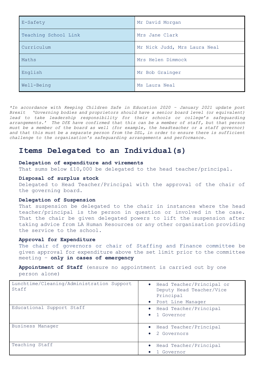| E-Safety             | Mr David Morgan              |
|----------------------|------------------------------|
| Teaching School Link | Mrs Jane Clark               |
| Curriculum           | Mr Nick Judd, Mrs Laura Neal |
| Maths                | Mrs Helen Dimmock            |
| English              | Mr Bob Grainger              |
| Well-Being           | Ms Laura Neal                |

*\*In accordance with Keeping Children Safe in Education 2020 – January 2021 update post Brexit 'Governing bodies and proprietors should have a senior board level (or equivalent)*  lead to take leadership responsibility for their schools or college's safeguarding *arrangements.' The DfE have confirmed that this can be a member of staff, but that person must be a member of the board as well (for example, the headteacher or a staff governor) and that this must be a separate person from the DSL, in order to ensure there is sufficient challenge to the organisation's safeguarding arrangements and performance.* 

### **Items Delegated to an Individual(s)**

### **Delegation of expenditure and virements**

That sums below £10,000 be delegated to the head teacher/principal.

### **Disposal of surplus stock**

Delegated to Head Teacher/Principal with the approval of the chair of the governing board.

### **Delegation of Suspension**

That suspension be delegated to the chair in instances where the head teacher/principal is the person in question or involved in the case. That the chair be given delegated powers to lift the suspension after taking advice from LA Human Resources or any other organisation providing the service to the school.

#### **Approval for Expenditure**

The chair of governors or chair of Staffing and Finance committee be given approval for expenditure above the set limit prior to the committee meeting – **only in cases of emergency**

**Appointment of Staff** (ensure no appointment is carried out by one person alone)

| Lunchtime/Cleaning/Administration Support<br>Staff | • Head Teacher/Principal or<br>Deputy Head Teacher/Vice<br>Principal |
|----------------------------------------------------|----------------------------------------------------------------------|
|                                                    | • Post Line Manager                                                  |
| Educational Support Staff                          | Head Teacher/Principal<br>1 Governor                                 |
| Business Manager                                   | • Head Teacher/Principal<br>2 Governors                              |
| Teaching Staff                                     | Head Teacher/Principal<br>1 Governor<br>$\bullet$                    |